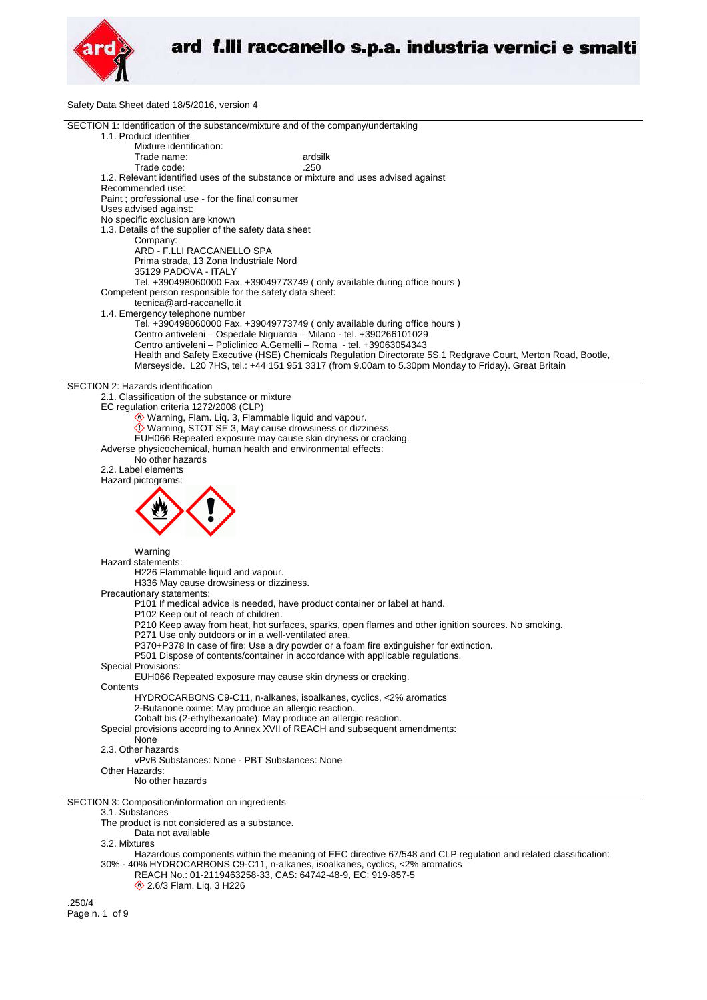

Safety Data Sheet dated 18/5/2016, version 4

| SECTION 1: Identification of the substance/mixture and of the company/undertaking                              |
|----------------------------------------------------------------------------------------------------------------|
| 1.1. Product identifier                                                                                        |
| Mixture identification:                                                                                        |
| Trade name:<br>ardsilk                                                                                         |
| Trade code:<br>.250                                                                                            |
|                                                                                                                |
| 1.2. Relevant identified uses of the substance or mixture and uses advised against                             |
| Recommended use:                                                                                               |
| Paint; professional use - for the final consumer                                                               |
| Uses advised against:                                                                                          |
| No specific exclusion are known                                                                                |
| 1.3. Details of the supplier of the safety data sheet                                                          |
| Company:                                                                                                       |
|                                                                                                                |
| ARD - F.LLI RACCANELLO SPA                                                                                     |
| Prima strada, 13 Zona Industriale Nord                                                                         |
| 35129 PADOVA - ITALY                                                                                           |
| Tel. +390498060000 Fax. +39049773749 (only available during office hours)                                      |
| Competent person responsible for the safety data sheet:                                                        |
| tecnica@ard-raccanello.it                                                                                      |
| 1.4. Emergency telephone number                                                                                |
| Tel. +390498060000 Fax. +39049773749 (only available during office hours)                                      |
|                                                                                                                |
| Centro antiveleni - Ospedale Niguarda - Milano - tel. +390266101029                                            |
| Centro antiveleni - Policlinico A.Gemelli - Roma - tel. +39063054343                                           |
| Health and Safety Executive (HSE) Chemicals Regulation Directorate 5S.1 Redgrave Court, Merton Road, Bootle,   |
| Merseyside. L20 7HS, tel.: +44 151 951 3317 (from 9.00am to 5.30pm Monday to Friday). Great Britain            |
|                                                                                                                |
| SECTION 2: Hazards identification                                                                              |
| 2.1. Classification of the substance or mixture                                                                |
| EC regulation criteria 1272/2008 (CLP)                                                                         |
|                                                                                                                |
| Warning, Flam. Liq. 3, Flammable liquid and vapour.                                                            |
| Warning, STOT SE 3, May cause drowsiness or dizziness.                                                         |
| EUH066 Repeated exposure may cause skin dryness or cracking.                                                   |
| Adverse physicochemical, human health and environmental effects:                                               |
| No other hazards                                                                                               |
| 2.2. Label elements                                                                                            |
| Hazard pictograms:                                                                                             |
|                                                                                                                |
|                                                                                                                |
|                                                                                                                |
|                                                                                                                |
|                                                                                                                |
|                                                                                                                |
|                                                                                                                |
| Warning                                                                                                        |
| Hazard statements:                                                                                             |
| H226 Flammable liquid and vapour.                                                                              |
|                                                                                                                |
| H336 May cause drowsiness or dizziness.                                                                        |
| Precautionary statements:                                                                                      |
| P101 If medical advice is needed, have product container or label at hand.                                     |
| P102 Keep out of reach of children.                                                                            |
| P210 Keep away from heat, hot surfaces, sparks, open flames and other ignition sources. No smoking.            |
| P271 Use only outdoors or in a well-ventilated area.                                                           |
| P370+P378 In case of fire: Use a dry powder or a foam fire extinguisher for extinction.                        |
| P501 Dispose of contents/container in accordance with applicable regulations.                                  |
|                                                                                                                |
| Special Provisions:                                                                                            |
| EUH066 Repeated exposure may cause skin dryness or cracking.                                                   |
| Contents                                                                                                       |
| HYDROCARBONS C9-C11, n-alkanes, isoalkanes, cyclics, <2% aromatics                                             |
| 2-Butanone oxime: May produce an allergic reaction.                                                            |
| Cobalt bis (2-ethylhexanoate): May produce an allergic reaction.                                               |
| Special provisions according to Annex XVII of REACH and subsequent amendments:                                 |
| None                                                                                                           |
| 2.3. Other hazards                                                                                             |
|                                                                                                                |
| vPvB Substances: None - PBT Substances: None                                                                   |
| Other Hazards:                                                                                                 |
| No other hazards                                                                                               |
|                                                                                                                |
| SECTION 3: Composition/information on ingredients                                                              |
| 3.1. Substances                                                                                                |
| The product is not considered as a substance.                                                                  |
| Data not available                                                                                             |
|                                                                                                                |
| 3.2. Mixtures                                                                                                  |
| Hazardous components within the meaning of EEC directive 67/548 and CLP regulation and related classification: |
| 30% - 40% HYDROCARBONS C9-C11, n-alkanes, isoalkanes, cyclics, <2% aromatics                                   |
| REACH No.: 01-2119463258-33, CAS: 64742-48-9, EC: 919-857-5                                                    |
| 2.6/3 Flam. Liq. 3 H226                                                                                        |
|                                                                                                                |
| 2EOM                                                                                                           |

.250/4 Page n. 1 of 9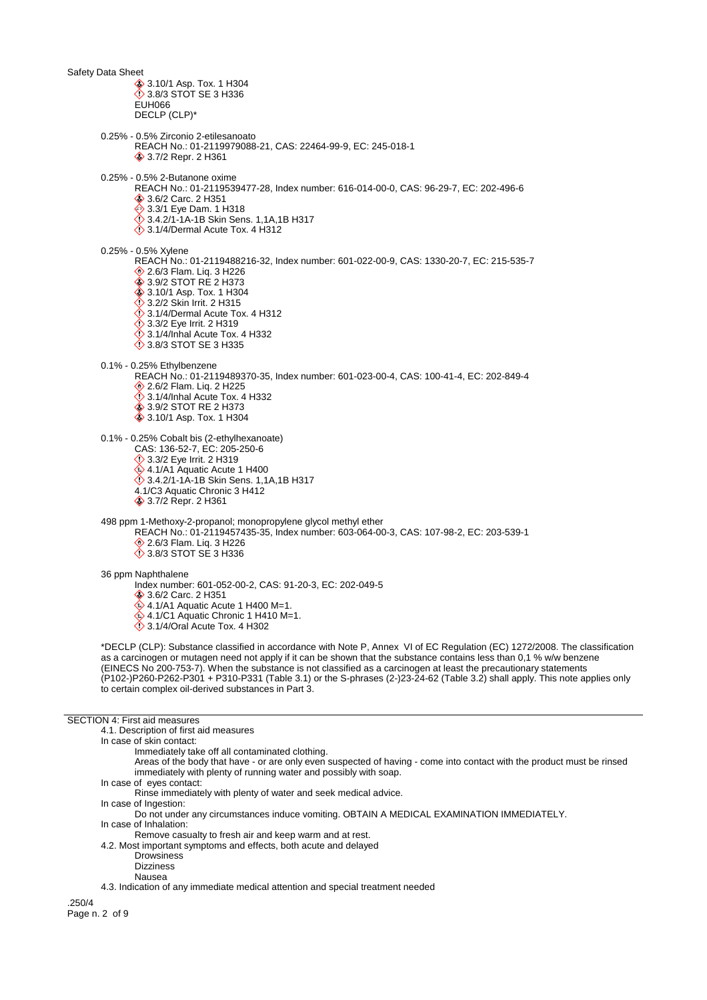Safety Data Sheet **♦ 3.10/1 Asp. Tox. 1 H304** 3.8/3 STOT SE 3 H336 EUH066 DECLP (CLP)\* 0.25% - 0.5% Zirconio 2-etilesanoato REACH No.: 01-2119979088-21, CAS: 22464-99-9, EC: 245-018-1 3.7/2 Repr. 2 H361 0.25% - 0.5% 2-Butanone oxime REACH No.: 01-2119539477-28, Index number: 616-014-00-0, CAS: 96-29-7, EC: 202-496-6 3.6/2 Carc. 2 H351 **♦ 3.3/1 Eye Dam. 1 H318**  3.4.2/1-1A-1B Skin Sens. 1,1A,1B H317  $\Diamond$  3.1/4/Dermal Acute Tox. 4 H312 0.25% - 0.5% Xylene REACH No.: 01-2119488216-32, Index number: 601-022-00-9, CAS: 1330-20-7, EC: 215-535-7 **♦ 2.6/3 Flam. Liq. 3 H226** 3.9/2 STOT RE 2 H373 **♦ 3.10/1 Asp. Tox. 1 H304 12.2/2 Skin Irrit. 2 H315**  $\Diamond$  3.1/4/Dermal Acute Tox. 4 H312  $\ddot{\diamond}$  3.3/2 Eye Irrit. 2 H319  $\ddot{\odot}$  3.1/4/Inhal Acute Tox. 4 H332 3.8/3 STOT SE 3 H335 0.1% - 0.25% Ethylbenzene REACH No.: 01-2119489370-35, Index number: 601-023-00-4, CAS: 100-41-4, EC: 202-849-4 **◆ 2.6/2 Flam. Liq. 2 H225**  $\ddot{\diamond}$  3.1/4/Inhal Acute Tox. 4 H332 3.9/2 STOT RE 2 H373 3.10/1 Asp. Tox. 1 H304 0.1% - 0.25% Cobalt bis (2-ethylhexanoate) CAS: 136-52-7, EC: 205-250-6 **♦ 3.3/2 Eye Irrit. 2 H319** 4.1/A1 Aquatic Acute 1 H400 3.4.2/1-1A-1B Skin Sens. 1,1A,1B H317 4.1/C3 Aquatic Chronic 3 H412 3.7/2 Repr. 2 H361 498 ppm 1-Methoxy-2-propanol; monopropylene glycol methyl ether REACH No.: 01-2119457435-35, Index number: 603-064-00-3, CAS: 107-98-2, EC: 203-539-1 **♦ 2.6/3 Flam. Lig. 3 H226 3.8/3 STOT SE 3 H336** 36 ppm Naphthalene Index number: 601-052-00-2, CAS: 91-20-3, EC: 202-049-5 3.6/2 Carc. 2 H351  $4.1/A1$  Aquatic Acute 1 H400 M=1.  $\hat{\textcircled{}}$  4.1/C1 Aquatic Chronic 1 H410 M=1.  $\Diamond$  3.1/4/Oral Acute Tox. 4 H302 \*DECLP (CLP): Substance classified in accordance with Note P, Annex VI of EC Regulation (EC) 1272/2008. The classification as a carcinogen or mutagen need not apply if it can be shown that the substance contains less than 0,1 % w/w benzene (EINECS No 200-753-7). When the substance is not classified as a carcinogen at least the precautionary statements (P102-)P260-P262-P301 + P310-P331 (Table 3.1) or the S-phrases (2-)23-24-62 (Table 3.2) shall apply. This note applies only to certain complex oil-derived substances in Part 3. SECTION 4: First aid measures 4.1. Description of first aid measures

In case of skin contact:

Immediately take off all contaminated clothing.

- Areas of the body that have or are only even suspected of having come into contact with the product must be rinsed immediately with plenty of running water and possibly with soap.
- In case of eyes contact:

Rinse immediately with plenty of water and seek medical advice.

- In case of Ingestion:
- Do not under any circumstances induce vomiting. OBTAIN A MEDICAL EXAMINATION IMMEDIATELY. In case of Inhalation:

Remove casualty to fresh air and keep warm and at rest.

- 4.2. Most important symptoms and effects, both acute and delayed
	- **Drowsiness**
	- Dizziness

Nausea

.250/4 Page n. 2 of 9

<sup>4.3.</sup> Indication of any immediate medical attention and special treatment needed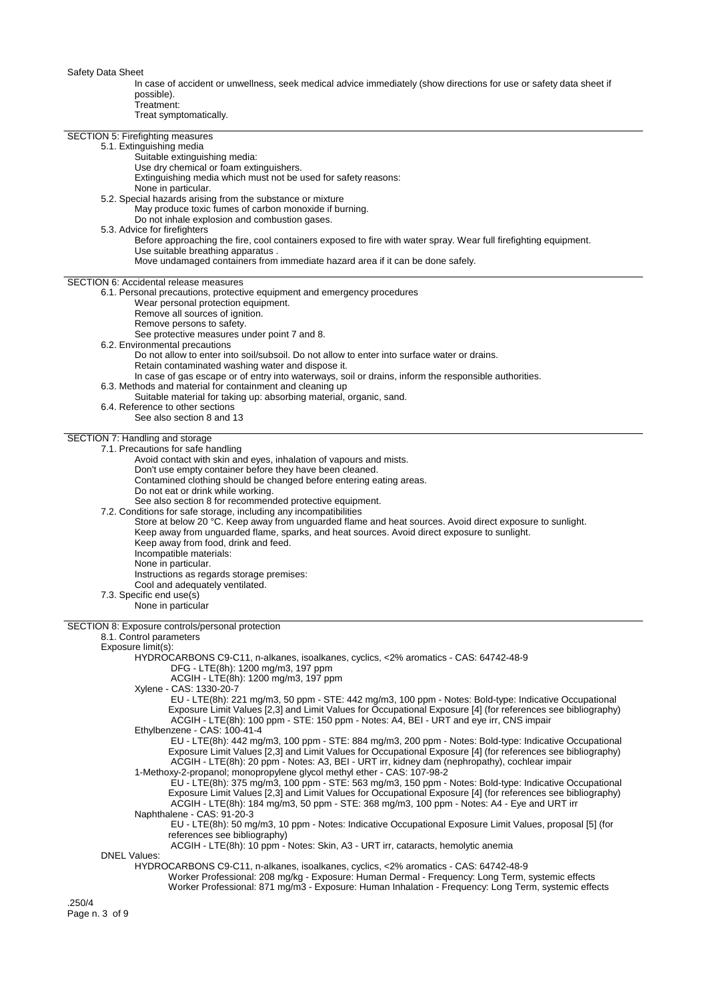In case of accident or unwellness, seek medical advice immediately (show directions for use or safety data sheet if possible).

Treatment:

Treat symptomatically.

| SECTION 5: Firefighting measures              |                                                                                                                  |
|-----------------------------------------------|------------------------------------------------------------------------------------------------------------------|
| 5.1. Extinguishing media                      |                                                                                                                  |
|                                               | Suitable extinguishing media:                                                                                    |
|                                               | Use dry chemical or foam extinguishers.                                                                          |
|                                               | Extinguishing media which must not be used for safety reasons:                                                   |
|                                               | None in particular.                                                                                              |
|                                               | 5.2. Special hazards arising from the substance or mixture                                                       |
|                                               |                                                                                                                  |
|                                               | May produce toxic fumes of carbon monoxide if burning.                                                           |
|                                               | Do not inhale explosion and combustion gases.                                                                    |
| 5.3. Advice for firefighters                  |                                                                                                                  |
|                                               | Before approaching the fire, cool containers exposed to fire with water spray. Wear full firefighting equipment. |
|                                               | Use suitable breathing apparatus.                                                                                |
|                                               | Move undamaged containers from immediate hazard area if it can be done safely.                                   |
|                                               |                                                                                                                  |
| <b>SECTION 6: Accidental release measures</b> |                                                                                                                  |
|                                               | 6.1. Personal precautions, protective equipment and emergency procedures                                         |
|                                               | Wear personal protection equipment.                                                                              |
|                                               | Remove all sources of ignition.                                                                                  |
|                                               | Remove persons to safety.                                                                                        |
|                                               | See protective measures under point 7 and 8.                                                                     |
|                                               | 6.2. Environmental precautions                                                                                   |
|                                               | Do not allow to enter into soil/subsoil. Do not allow to enter into surface water or drains.                     |
|                                               | Retain contaminated washing water and dispose it.                                                                |
|                                               | In case of gas escape or of entry into waterways, soil or drains, inform the responsible authorities.            |
|                                               | 6.3. Methods and material for containment and cleaning up                                                        |
|                                               | Suitable material for taking up: absorbing material, organic, sand.                                              |
|                                               | 6.4. Reference to other sections                                                                                 |
|                                               | See also section 8 and 13                                                                                        |
|                                               |                                                                                                                  |
| SECTION 7: Handling and storage               |                                                                                                                  |
|                                               | 7.1. Precautions for safe handling                                                                               |
|                                               | Avoid contact with skin and eyes, inhalation of vapours and mists.                                               |
|                                               | Don't use empty container before they have been cleaned.                                                         |
|                                               | Contamined clothing should be changed before entering eating areas.                                              |
|                                               | Do not eat or drink while working.                                                                               |
|                                               | See also section 8 for recommended protective equipment.                                                         |
|                                               | 7.2. Conditions for safe storage, including any incompatibilities                                                |
|                                               | Store at below 20 °C. Keep away from unguarded flame and heat sources. Avoid direct exposure to sunlight.        |
|                                               | Keep away from unguarded flame, sparks, and heat sources. Avoid direct exposure to sunlight.                     |
|                                               | Keep away from food, drink and feed.                                                                             |
|                                               | Incompatible materials:                                                                                          |
|                                               | None in particular.                                                                                              |
|                                               |                                                                                                                  |
|                                               | Instructions as regards storage premises:                                                                        |
|                                               | Cool and adequately ventilated.                                                                                  |
| 7.3. Specific end use(s)                      | None in particular                                                                                               |
|                                               |                                                                                                                  |
|                                               | SECTION 8: Exposure controls/personal protection                                                                 |
| 8.1. Control parameters                       |                                                                                                                  |
| Exposure limit(s):                            |                                                                                                                  |
|                                               | HYDROCARBONS C9-C11, n-alkanes, isoalkanes, cyclics, <2% aromatics - CAS: 64742-48-9                             |
|                                               | DFG - LTE(8h): 1200 mg/m3, 197 ppm                                                                               |
|                                               | ACGIH - LTE(8h): 1200 mg/m3, 197 ppm                                                                             |
|                                               | Xylene - CAS: 1330-20-7                                                                                          |
|                                               | EU - LTE(8h): 221 mg/m3, 50 ppm - STE: 442 mg/m3, 100 ppm - Notes: Bold-type: Indicative Occupational            |
|                                               | Exposure Limit Values [2,3] and Limit Values for Occupational Exposure [4] (for references see bibliography)     |
|                                               | ACGIH - LTE(8h): 100 ppm - STE: 150 ppm - Notes: A4, BEI - URT and eye irr, CNS impair                           |
|                                               | Ethylbenzene - CAS: 100-41-4                                                                                     |
|                                               |                                                                                                                  |
|                                               | EU - LTE(8h): 442 mg/m3, 100 ppm - STE: 884 mg/m3, 200 ppm - Notes: Bold-type: Indicative Occupational           |
|                                               | Exposure Limit Values [2,3] and Limit Values for Occupational Exposure [4] (for references see bibliography)     |
|                                               | ACGIH - LTE(8h): 20 ppm - Notes: A3, BEI - URT irr, kidney dam (nephropathy), cochlear impair                    |
|                                               | 1-Methoxy-2-propanol; monopropylene glycol methyl ether - CAS: 107-98-2                                          |
|                                               | EU - LTE(8h): 375 mg/m3, 100 ppm - STE: 563 mg/m3, 150 ppm - Notes: Bold-type: Indicative Occupational           |
|                                               | Exposure Limit Values [2,3] and Limit Values for Occupational Exposure [4] (for references see bibliography)     |
|                                               | ACGIH - LTE(8h): 184 mg/m3, 50 ppm - STE: 368 mg/m3, 100 ppm - Notes: A4 - Eye and URT irr                       |
|                                               | Naphthalene - CAS: 91-20-3                                                                                       |
|                                               | EU - LTE(8h): 50 mg/m3, 10 ppm - Notes: Indicative Occupational Exposure Limit Values, proposal [5] (for         |
|                                               | references see bibliography)                                                                                     |
|                                               | ACGIH - LTE(8h): 10 ppm - Notes: Skin, A3 - URT irr, cataracts, hemolytic anemia                                 |
| <b>DNEL Values:</b>                           |                                                                                                                  |
|                                               | HYDROCARBONS C9-C11, n-alkanes, isoalkanes, cyclics, <2% aromatics - CAS: 64742-48-9                             |
|                                               | Worker Professional: 208 mg/kg - Exposure: Human Dermal - Frequency: Long Term, systemic effects                 |
|                                               | Worker Professional: 871 mg/m3 - Exposure: Human Inhalation - Frequency: Long Term, systemic effects             |
|                                               |                                                                                                                  |
| .250/4                                        |                                                                                                                  |
| Page n. 3 of 9                                |                                                                                                                  |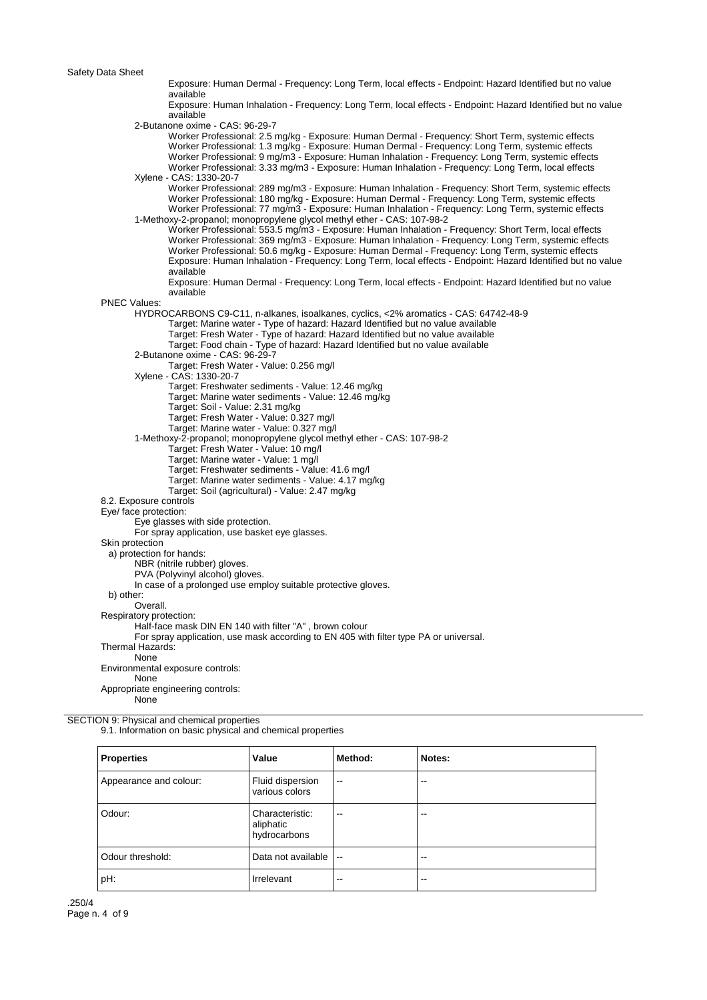Exposure: Human Dermal - Frequency: Long Term, local effects - Endpoint: Hazard Identified but no value available Exposure: Human Inhalation - Frequency: Long Term, local effects - Endpoint: Hazard Identified but no value available 2-Butanone oxime - CAS: 96-29-7 Worker Professional: 2.5 mg/kg - Exposure: Human Dermal - Frequency: Short Term, systemic effects Worker Professional: 1.3 mg/kg - Exposure: Human Dermal - Frequency: Long Term, systemic effects Worker Professional: 9 mg/m3 - Exposure: Human Inhalation - Frequency: Long Term, systemic effects Worker Professional: 3.33 mg/m3 - Exposure: Human Inhalation - Frequency: Long Term, local effects Xylene - CAS: 1330-20-7 Worker Professional: 289 mg/m3 - Exposure: Human Inhalation - Frequency: Short Term, systemic effects Worker Professional: 180 mg/kg - Exposure: Human Dermal - Frequency: Long Term, systemic effects Worker Professional: 77 mg/m3 - Exposure: Human Inhalation - Frequency: Long Term, systemic effects 1-Methoxy-2-propanol; monopropylene glycol methyl ether - CAS: 107-98-2 Worker Professional: 553.5 mg/m3 - Exposure: Human Inhalation - Frequency: Short Term, local effects Worker Professional: 369 mg/m3 - Exposure: Human Inhalation - Frequency: Long Term, systemic effects Worker Professional: 50.6 mg/kg - Exposure: Human Dermal - Frequency: Long Term, systemic effects Exposure: Human Inhalation - Frequency: Long Term, local effects - Endpoint: Hazard Identified but no value available Exposure: Human Dermal - Frequency: Long Term, local effects - Endpoint: Hazard Identified but no value available PNEC Values: HYDROCARBONS C9-C11, n-alkanes, isoalkanes, cyclics, <2% aromatics - CAS: 64742-48-9 Target: Marine water - Type of hazard: Hazard Identified but no value available Target: Fresh Water - Type of hazard: Hazard Identified but no value available Target: Food chain - Type of hazard: Hazard Identified but no value available 2-Butanone oxime - CAS: 96-29-7 Target: Fresh Water - Value: 0.256 mg/l Xylene - CAS: 1330-20-7 Target: Freshwater sediments - Value: 12.46 mg/kg Target: Marine water sediments - Value: 12.46 mg/kg Target: Soil - Value: 2.31 mg/kg Target: Fresh Water - Value: 0.327 mg/l Target: Marine water - Value: 0.327 mg/l 1-Methoxy-2-propanol; monopropylene glycol methyl ether - CAS: 107-98-2 Target: Fresh Water - Value: 10 mg/l Target: Marine water - Value: 1 mg/l Target: Freshwater sediments - Value: 41.6 mg/l Target: Marine water sediments - Value: 4.17 mg/kg Target: Soil (agricultural) - Value: 2.47 mg/kg 8.2. Exposure controls Eye/ face protection: Eye glasses with side protection. For spray application, use basket eye glasses. Skin protection a) protection for hands: NBR (nitrile rubber) gloves. PVA (Polyvinyl alcohol) gloves. In case of a prolonged use employ suitable protective gloves. b) other: Overall. Respiratory protection: Half-face mask DIN EN 140 with filter "A" , brown colour For spray application, use mask according to EN 405 with filter type PA or universal. Thermal Hazards: None Environmental exposure controls: None Appropriate engineering controls: None

SECTION 9: Physical and chemical properties 9.1. Information on basic physical and chemical properties

| <b>Properties</b>      | Value                                        | Method:                  | Notes: |
|------------------------|----------------------------------------------|--------------------------|--------|
| Appearance and colour: | Fluid dispersion<br>various colors           | $\overline{\phantom{a}}$ | --     |
| Odour:                 | Characteristic:<br>aliphatic<br>hydrocarbons | $\overline{\phantom{m}}$ | --     |
| Odour threshold:       | Data not available                           | $\overline{\phantom{a}}$ | --     |
| pH:                    | Irrelevant                                   | --                       | --     |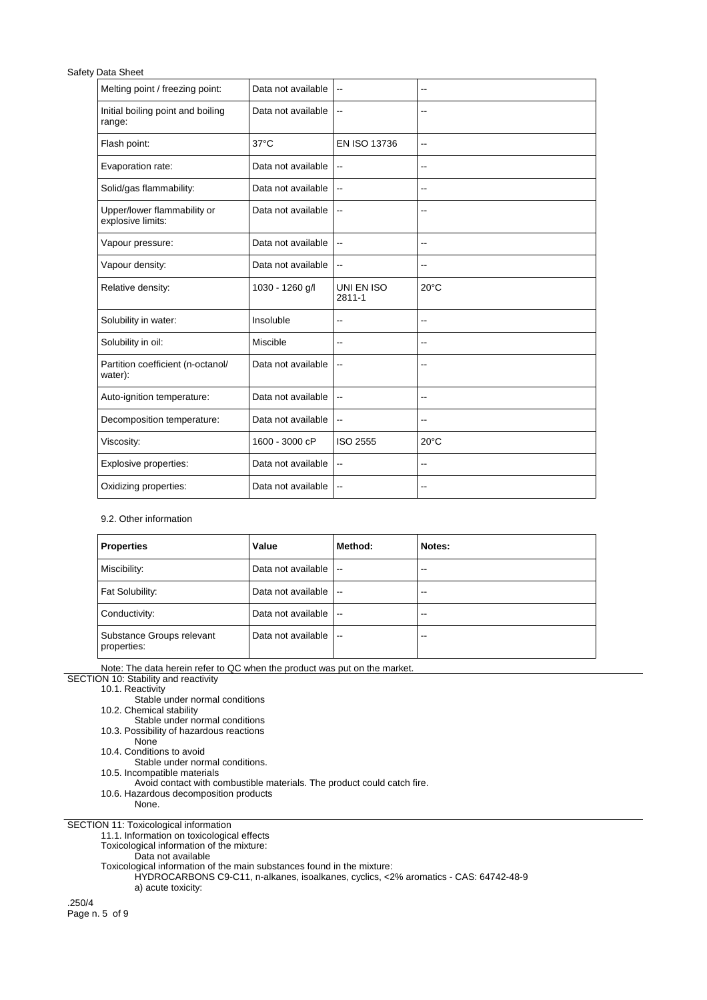| Melting point / freezing point:                  | Data not available | $\overline{a}$           | $-$                      |
|--------------------------------------------------|--------------------|--------------------------|--------------------------|
| Initial boiling point and boiling<br>range:      | Data not available | --                       |                          |
| Flash point:                                     | $37^{\circ}$ C     | EN ISO 13736             | $\overline{\phantom{a}}$ |
| Evaporation rate:                                | Data not available | $\overline{\phantom{a}}$ | $\overline{\phantom{a}}$ |
| Solid/gas flammability:                          | Data not available | $\overline{\phantom{a}}$ | $-$                      |
| Upper/lower flammability or<br>explosive limits: | Data not available | --                       | $-$                      |
| Vapour pressure:                                 | Data not available | --                       | $\sim$                   |
| Vapour density:                                  | Data not available | $-1$                     | ۰.                       |
| Relative density:                                | 1030 - 1260 g/l    | UNI EN ISO<br>2811-1     | $20^{\circ}$ C           |
| Solubility in water:                             | Insoluble          | --                       | $\overline{\phantom{a}}$ |
| Solubility in oil:                               | Miscible           | --                       | $-$                      |
| Partition coefficient (n-octanol/<br>water):     | Data not available | --                       | --                       |
| Auto-ignition temperature:                       | Data not available | $\overline{\phantom{a}}$ | $\overline{\phantom{a}}$ |
| Decomposition temperature:                       | Data not available | Щ,                       | $-$                      |
| Viscosity:                                       | 1600 - 3000 cP     | ISO 2555                 | $20^{\circ}$ C           |
| Explosive properties:                            | Data not available | --                       | $-$                      |
| Oxidizing properties:                            | Data not available | --                       | $-$                      |

## 9.2. Other information

| <b>Properties</b>                        | Value              | Method:                  | Notes:                   |
|------------------------------------------|--------------------|--------------------------|--------------------------|
| Miscibility:                             | Data not available | $\overline{\phantom{a}}$ | $\overline{\phantom{a}}$ |
| Fat Solubility:                          | Data not available | $\overline{\phantom{a}}$ | $-$                      |
| Conductivity:                            | Data not available | $\overline{\phantom{a}}$ | $\overline{\phantom{a}}$ |
| Substance Groups relevant<br>properties: | Data not available | $\overline{\phantom{a}}$ | $-$                      |

Note: The data herein refer to QC when the product was put on the market.

SECTION 10: Stability and reactivity

10.1. Reactivity

Stable under normal conditions

10.2. Chemical stability

Stable under normal conditions

10.3. Possibility of hazardous reactions

None 10.4. Conditions to avoid

Stable under normal conditions.

10.5. Incompatible materials

Avoid contact with combustible materials. The product could catch fire.

10.6. Hazardous decomposition products

None.

SECTION 11: Toxicological information

11.1. Information on toxicological effects

Toxicological information of the mixture:

Data not available

Toxicological information of the main substances found in the mixture:

HYDROCARBONS C9-C11, n-alkanes, isoalkanes, cyclics, <2% aromatics - CAS: 64742-48-9 a) acute toxicity:

.250/4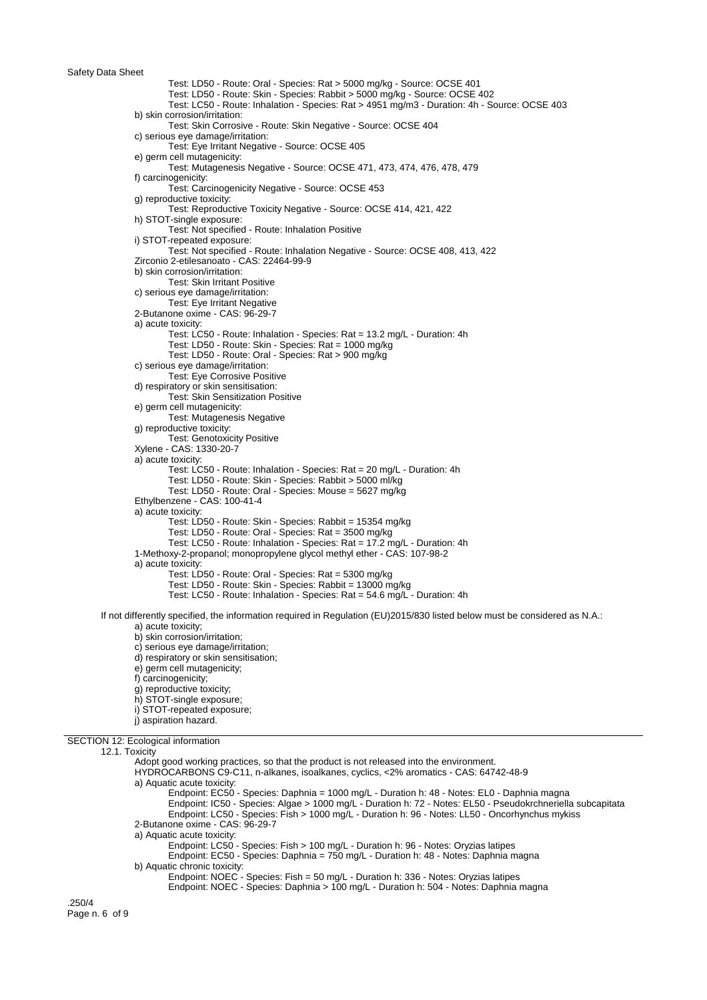Test: LD50 - Route: Oral - Species: Rat > 5000 mg/kg - Source: OCSE 401 Test: LD50 - Route: Skin - Species: Rabbit > 5000 mg/kg - Source: OCSE 402 Test: LC50 - Route: Inhalation - Species: Rat > 4951 mg/m3 - Duration: 4h - Source: OCSE 403 b) skin corrosion/irritation: Test: Skin Corrosive - Route: Skin Negative - Source: OCSE 404 c) serious eye damage/irritation: Test: Eye Irritant Negative - Source: OCSE 405 e) germ cell mutagenicity: Test: Mutagenesis Negative - Source: OCSE 471, 473, 474, 476, 478, 479 f) carcinogenicity: Test: Carcinogenicity Negative - Source: OCSE 453 g) reproductive toxicity: Test: Reproductive Toxicity Negative - Source: OCSE 414, 421, 422 h) STOT-single exposure: Test: Not specified - Route: Inhalation Positive i) STOT-repeated exposure: Test: Not specified - Route: Inhalation Negative - Source: OCSE 408, 413, 422 Zirconio 2-etilesanoato - CAS: 22464-99-9 b) skin corrosion/irritation: Test: Skin Irritant Positive c) serious eye damage/irritation: Test: Eye Irritant Negative 2-Butanone oxime - CAS: 96-29-7 a) acute toxicity: Test: LC50 - Route: Inhalation - Species: Rat = 13.2 mg/L - Duration: 4h Test: LD50 - Route: Skin - Species: Rat = 1000 mg/kg Test: LD50 - Route: Oral - Species: Rat > 900 mg/kg c) serious eye damage/irritation: Test: Eye Corrosive Positive d) respiratory or skin sensitisation: Test: Skin Sensitization Positive e) germ cell mutagenicity: Test: Mutagenesis Negative g) reproductive toxicity: Test: Genotoxicity Positive Xylene - CAS: 1330-20-7 a) acute toxicity: Test: LC50 - Route: Inhalation - Species: Rat = 20 mg/L - Duration: 4h Test: LD50 - Route: Skin - Species: Rabbit > 5000 ml/kg Test: LD50 - Route: Oral - Species: Mouse = 5627 mg/kg Ethylbenzene - CAS: 100-41-4 a) acute toxicity: Test: LD50 - Route: Skin - Species: Rabbit = 15354 mg/kg Test: LD50 - Route: Oral - Species: Rat = 3500 mg/kg Test: LC50 - Route: Inhalation - Species: Rat = 17.2 mg/L - Duration: 4h 1-Methoxy-2-propanol; monopropylene glycol methyl ether - CAS: 107-98-2 a) acute toxicity: Test: LD50 - Route: Oral - Species: Rat = 5300 mg/kg Test: LD50 - Route: Skin - Species: Rabbit = 13000 mg/kg Test: LC50 - Route: Inhalation - Species: Rat = 54.6 mg/L - Duration: 4h If not differently specified, the information required in Regulation (EU)2015/830 listed below must be considered as N.A.: a) acute toxicity; b) skin corrosion/irritation; c) serious eye damage/irritation;

- d) respiratory or skin sensitisation; e) germ cell mutagenicity; f) carcinogenicity; g) reproductive toxicity;
- h) STOT-single exposure;
- i) STOT-repeated exposure;
- j) aspiration hazard.

## SECTION 12: Ecological information

12.1. Toxicity

Adopt good working practices, so that the product is not released into the environment. HYDROCARBONS C9-C11, n-alkanes, isoalkanes, cyclics, <2% aromatics - CAS: 64742-48-9 a) Aquatic acute toxicity: Endpoint: EC50 - Species: Daphnia = 1000 mg/L - Duration h: 48 - Notes: EL0 - Daphnia magna Endpoint: IC50 - Species: Algae > 1000 mg/L - Duration h: 72 - Notes: EL50 - Pseudokrchneriella subcapitata Endpoint: LC50 - Species: Fish > 1000 mg/L - Duration h: 96 - Notes: LL50 - Oncorhynchus mykiss 2-Butanone oxime - CAS: 96-29-7 a) Aquatic acute toxicity: Endpoint: LC50 - Species: Fish > 100 mg/L - Duration h: 96 - Notes: Oryzias latipes Endpoint: EC50 - Species: Daphnia = 750 mg/L - Duration h: 48 - Notes: Daphnia magna b) Aquatic chronic toxicity: Endpoint: NOEC - Species: Fish = 50 mg/L - Duration h: 336 - Notes: Oryzias latipes Endpoint: NOEC - Species: Daphnia > 100 mg/L - Duration h: 504 - Notes: Daphnia magna

.250/4 Page n. 6 of 9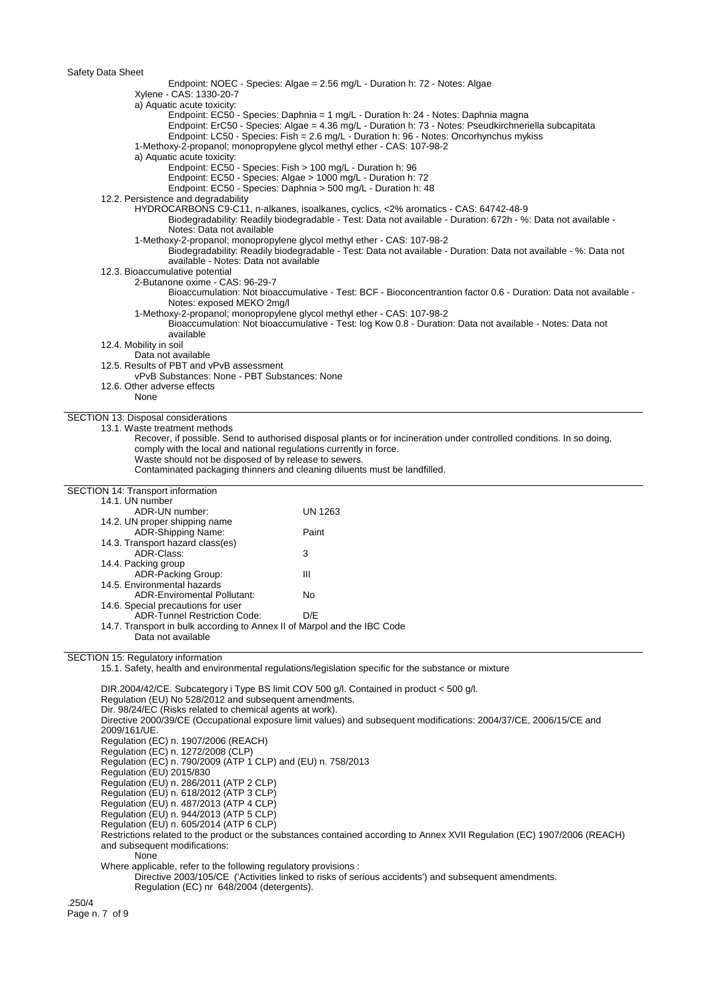| Salety Data Sheet                                                                                  |                                                                                                                                                                                                                                                                                        |
|----------------------------------------------------------------------------------------------------|----------------------------------------------------------------------------------------------------------------------------------------------------------------------------------------------------------------------------------------------------------------------------------------|
| Xylene - CAS: 1330-20-7                                                                            | Endpoint: NOEC - Species: Algae = 2.56 mg/L - Duration h: 72 - Notes: Algae                                                                                                                                                                                                            |
| a) Aquatic acute toxicity:                                                                         | Endpoint: EC50 - Species: Daphnia = 1 mg/L - Duration h: 24 - Notes: Daphnia magna<br>Endpoint: ErC50 - Species: Algae = 4.36 mg/L - Duration h: 73 - Notes: Pseudkirchneriella subcapitata<br>Endpoint: LC50 - Species: Fish = 2.6 mg/L - Duration h: 96 - Notes: Oncorhynchus mykiss |
| a) Aquatic acute toxicity:                                                                         | 1-Methoxy-2-propanol; monopropylene glycol methyl ether - CAS: 107-98-2                                                                                                                                                                                                                |
|                                                                                                    | Endpoint: EC50 - Species: Fish > 100 mg/L - Duration h: 96                                                                                                                                                                                                                             |
|                                                                                                    | Endpoint: EC50 - Species: Algae > 1000 mg/L - Duration h: 72<br>Endpoint: EC50 - Species: Daphnia > 500 mg/L - Duration h: 48                                                                                                                                                          |
| 12.2. Persistence and degradability                                                                | HYDROCARBONS C9-C11, n-alkanes, isoalkanes, cyclics, <2% aromatics - CAS: 64742-48-9                                                                                                                                                                                                   |
| Notes: Data not available                                                                          | Biodegradability: Readily biodegradable - Test: Data not available - Duration: 672h - %: Data not available -<br>1-Methoxy-2-propanol; monopropylene glycol methyl ether - CAS: 107-98-2                                                                                               |
| available - Notes: Data not available                                                              | Biodegradability: Readily biodegradable - Test: Data not available - Duration: Data not available - %: Data not                                                                                                                                                                        |
| 12.3. Bioaccumulative potential<br>2-Butanone oxime - CAS: 96-29-7                                 |                                                                                                                                                                                                                                                                                        |
|                                                                                                    | Bioaccumulation: Not bioaccumulative - Test: BCF - Bioconcentrantion factor 0.6 - Duration: Data not available -                                                                                                                                                                       |
| Notes: exposed MEKO 2mg/l                                                                          | 1-Methoxy-2-propanol; monopropylene glycol methyl ether - CAS: 107-98-2                                                                                                                                                                                                                |
| available                                                                                          | Bioaccumulation: Not bioaccumulative - Test: log Kow 0.8 - Duration: Data not available - Notes: Data not                                                                                                                                                                              |
| 12.4. Mobility in soil<br>Data not available                                                       |                                                                                                                                                                                                                                                                                        |
| 12.5. Results of PBT and vPvB assessment                                                           |                                                                                                                                                                                                                                                                                        |
| vPvB Substances: None - PBT Substances: None<br>12.6. Other adverse effects                        |                                                                                                                                                                                                                                                                                        |
| None                                                                                               |                                                                                                                                                                                                                                                                                        |
| SECTION 13: Disposal considerations<br>13.1. Waste treatment methods                               |                                                                                                                                                                                                                                                                                        |
|                                                                                                    | Recover, if possible. Send to authorised disposal plants or for incineration under controlled conditions. In so doing,                                                                                                                                                                 |
| comply with the local and national regulations currently in force.                                 |                                                                                                                                                                                                                                                                                        |
| Waste should not be disposed of by release to sewers.                                              |                                                                                                                                                                                                                                                                                        |
|                                                                                                    | Contaminated packaging thinners and cleaning diluents must be landfilled.                                                                                                                                                                                                              |
| SECTION 14: Transport information                                                                  |                                                                                                                                                                                                                                                                                        |
| 14.1. UN number<br>ADR-UN number:                                                                  | <b>UN 1263</b>                                                                                                                                                                                                                                                                         |
| 14.2. UN proper shipping name                                                                      |                                                                                                                                                                                                                                                                                        |
| ADR-Shipping Name:                                                                                 | Paint                                                                                                                                                                                                                                                                                  |
| 14.3. Transport hazard class(es)<br>ADR-Class:                                                     | 3                                                                                                                                                                                                                                                                                      |
| 14.4. Packing group                                                                                |                                                                                                                                                                                                                                                                                        |
| ADR-Packing Group:                                                                                 | Ш                                                                                                                                                                                                                                                                                      |
| 14.5. Environmental hazards<br><b>ADR-Enviromental Pollutant:</b>                                  | No                                                                                                                                                                                                                                                                                     |
| 14.6. Special precautions for user                                                                 |                                                                                                                                                                                                                                                                                        |
| <b>ADR-Tunnel Restriction Code:</b>                                                                | D/E                                                                                                                                                                                                                                                                                    |
| 14.7. Transport in bulk according to Annex II of Marpol and the IBC Code<br>Data not available     |                                                                                                                                                                                                                                                                                        |
| SECTION 15: Regulatory information                                                                 |                                                                                                                                                                                                                                                                                        |
|                                                                                                    | 15.1. Safety, health and environmental regulations/legislation specific for the substance or mixture                                                                                                                                                                                   |
| Regulation (EU) No 528/2012 and subsequent amendments.                                             | DIR.2004/42/CE. Subcategory i Type BS limit COV 500 g/l. Contained in product < 500 g/l.                                                                                                                                                                                               |
| Dir. 98/24/EC (Risks related to chemical agents at work).                                          |                                                                                                                                                                                                                                                                                        |
| 2009/161/UE.                                                                                       | Directive 2000/39/CE (Occupational exposure limit values) and subsequent modifications: 2004/37/CE, 2006/15/CE and                                                                                                                                                                     |
| Regulation (EC) n. 1907/2006 (REACH)                                                               |                                                                                                                                                                                                                                                                                        |
| Regulation (EC) n. 1272/2008 (CLP)<br>Regulation (EC) n. 790/2009 (ATP 1 CLP) and (EU) n. 758/2013 |                                                                                                                                                                                                                                                                                        |
| Regulation (EU) 2015/830<br>Regulation (EU) n. 286/2011 (ATP 2 CLP)                                |                                                                                                                                                                                                                                                                                        |
| Regulation (EU) n. 618/2012 (ATP 3 CLP)                                                            |                                                                                                                                                                                                                                                                                        |
| Regulation (EU) n. 487/2013 (ATP 4 CLP)                                                            |                                                                                                                                                                                                                                                                                        |
| Regulation (EU) n. 944/2013 (ATP 5 CLP)<br>Regulation (EU) n. 605/2014 (ATP 6 CLP)                 |                                                                                                                                                                                                                                                                                        |
|                                                                                                    | Restrictions related to the product or the substances contained according to Annex XVII Regulation (EC) 1907/2006 (REACH)                                                                                                                                                              |
| and subsequent modifications:<br>None                                                              |                                                                                                                                                                                                                                                                                        |
|                                                                                                    |                                                                                                                                                                                                                                                                                        |

Where applicable, refer to the following regulatory provisions :

Directive 2003/105/CE ('Activities linked to risks of serious accidents') and subsequent amendments. Regulation (EC) nr 648/2004 (detergents).

.250/4 Page n. 7 of 9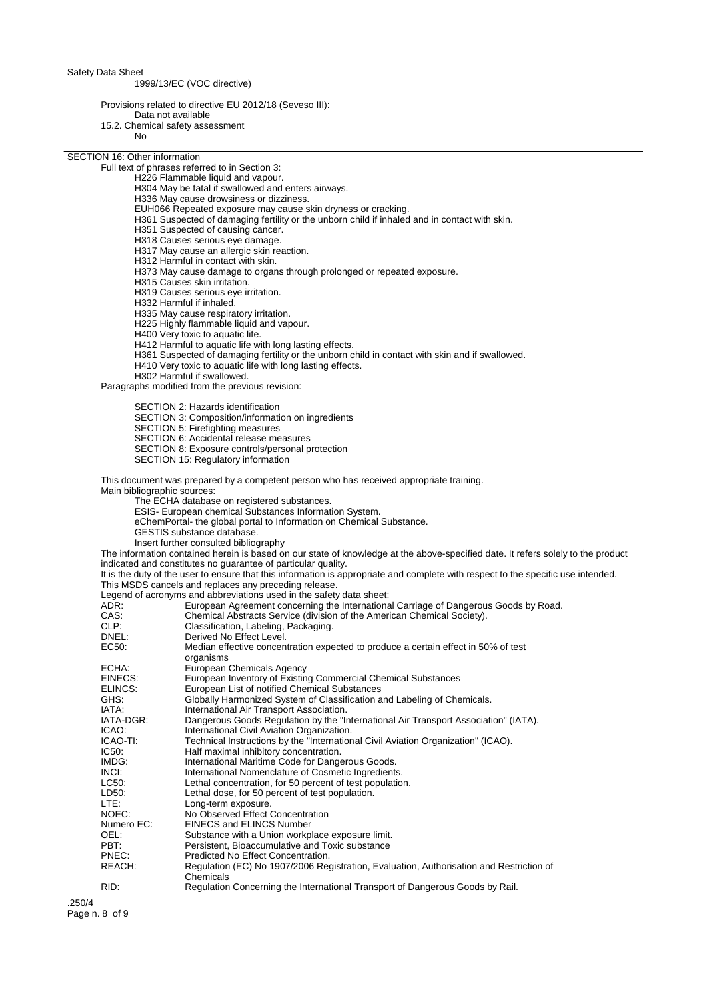1999/13/EC (VOC directive)

Provisions related to directive EU 2012/18 (Seveso III):

- Data not available 15.2. Chemical safety assessment
	- No

SECTION 16: Other information

Full text of phrases referred to in Section 3:

- H226 Flammable liquid and vapour.
- H304 May be fatal if swallowed and enters airways.
- H336 May cause drowsiness or dizziness.
- EUH066 Repeated exposure may cause skin dryness or cracking.
- H361 Suspected of damaging fertility or the unborn child if inhaled and in contact with skin.
- H351 Suspected of causing cancer.
- H318 Causes serious eye damage.
- H317 May cause an allergic skin reaction.
- H312 Harmful in contact with skin.
- H373 May cause damage to organs through prolonged or repeated exposure.
- H315 Causes skin irritation.
- H319 Causes serious eye irritation.
- H332 Harmful if inhaled.
- H335 May cause respiratory irritation.
- H225 Highly flammable liquid and vapour.
- H400 Very toxic to aquatic life.
- H412 Harmful to aquatic life with long lasting effects.
- H361 Suspected of damaging fertility or the unborn child in contact with skin and if swallowed.
- H410 Very toxic to aquatic life with long lasting effects.
- H302 Harmful if swallowed.

Paragraphs modified from the previous revision:

SECTION 2: Hazards identification

- SECTION 3: Composition/information on ingredients
- SECTION 5: Firefighting measures
- SECTION 6: Accidental release measures
- SECTION 8: Exposure controls/personal protection
- SECTION 15: Regulatory information

This document was prepared by a competent person who has received appropriate training.

Main bibliographic sources:

- The ECHA database on registered substances.
- ESIS- European chemical Substances Information System.
- eChemPortal- the global portal to Information on Chemical Substance.
- GESTIS substance database.
- Insert further consulted bibliography

The information contained herein is based on our state of knowledge at the above-specified date. It refers solely to the product indicated and constitutes no guarantee of particular quality.

It is the duty of the user to ensure that this information is appropriate and complete with respect to the specific use intended. This MSDS cancels and replaces any preceding release.

Legend of acronyms and abbreviations used in the safety data sheet:

| European Agreement concerning the International Carriage of Dangerous Goods by Road.                 |
|------------------------------------------------------------------------------------------------------|
| Chemical Abstracts Service (division of the American Chemical Society).                              |
| Classification, Labeling, Packaging.                                                                 |
| Derived No Effect Level.                                                                             |
| Median effective concentration expected to produce a certain effect in 50% of test<br>organisms      |
| European Chemicals Agency                                                                            |
| European Inventory of Existing Commercial Chemical Substances                                        |
| European List of notified Chemical Substances                                                        |
| Globally Harmonized System of Classification and Labeling of Chemicals.                              |
| International Air Transport Association.                                                             |
| Dangerous Goods Regulation by the "International Air Transport Association" (IATA).                  |
| International Civil Aviation Organization.                                                           |
| Technical Instructions by the "International Civil Aviation Organization" (ICAO).                    |
| Half maximal inhibitory concentration.                                                               |
| International Maritime Code for Dangerous Goods.                                                     |
| International Nomenclature of Cosmetic Ingredients.                                                  |
| Lethal concentration, for 50 percent of test population.                                             |
| Lethal dose, for 50 percent of test population.                                                      |
| Long-term exposure.                                                                                  |
| No Observed Effect Concentration                                                                     |
| EINECS and ELINCS Number                                                                             |
| Substance with a Union workplace exposure limit.                                                     |
| Persistent, Bioaccumulative and Toxic substance                                                      |
| Predicted No Effect Concentration.                                                                   |
| Regulation (EC) No 1907/2006 Registration, Evaluation, Authorisation and Restriction of<br>Chemicals |
| Regulation Concerning the International Transport of Dangerous Goods by Rail.                        |
|                                                                                                      |